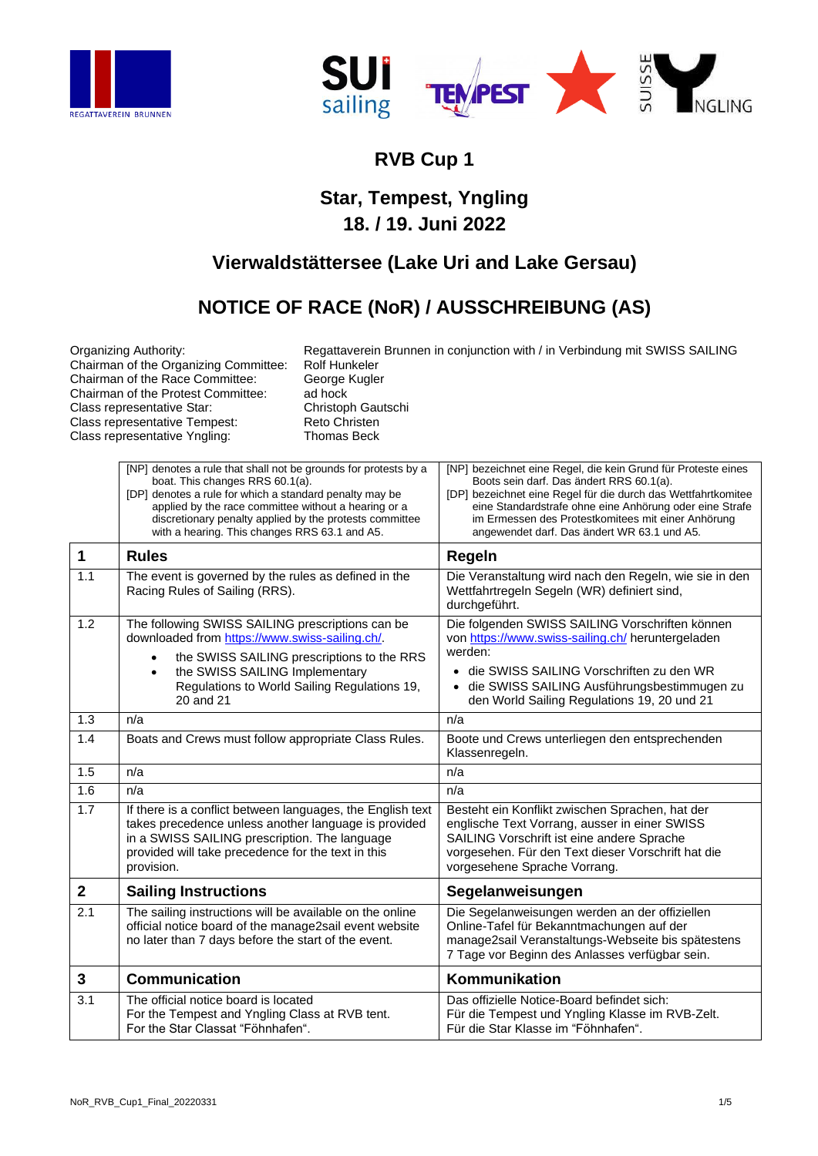



## **RVB Cup 1**

## **Star, Tempest, Yngling 18. / 19. Juni 2022**

## **Vierwaldstättersee (Lake Uri and Lake Gersau)**

## **NOTICE OF RACE (NoR) / AUSSCHREIBUNG (AS)**

Chairman of the Organizing Committee: Rolf Hunkeler<br>Chairman of the Race Committee: George Kugler Chairman of the Race Committee: George Chairman of the Protest Committee: ad hock Chairman of the Protest Committee: ad hock<br>
Class representative Star: Christoph Gautschi Class representative Star: Christoph Gautschisten Class representative Tempest: Reto Christen Class representative Tempest: Reto Christen<br>
Class representative Yngling: Thomas Beck Class representative Yngling:

Organizing Authority: Regattaverein Brunnen in conjunction with / in Verbindung mit SWISS SAILING<br>Chairman of the Organizing Committee: Rolf Hunkeler

|             | [NP] denotes a rule that shall not be grounds for protests by a<br>boat. This changes RRS 60.1(a).<br>[DP] denotes a rule for which a standard penalty may be<br>applied by the race committee without a hearing or a<br>discretionary penalty applied by the protests committee<br>with a hearing. This changes RRS 63.1 and A5. | [NP] bezeichnet eine Regel, die kein Grund für Proteste eines<br>Boots sein darf. Das ändert RRS 60.1(a).<br>[DP] bezeichnet eine Regel für die durch das Wettfahrtkomitee<br>eine Standardstrafe ohne eine Anhörung oder eine Strafe<br>im Ermessen des Protestkomitees mit einer Anhörung<br>angewendet darf. Das ändert WR 63.1 und A5. |
|-------------|-----------------------------------------------------------------------------------------------------------------------------------------------------------------------------------------------------------------------------------------------------------------------------------------------------------------------------------|--------------------------------------------------------------------------------------------------------------------------------------------------------------------------------------------------------------------------------------------------------------------------------------------------------------------------------------------|
| 1           | <b>Rules</b>                                                                                                                                                                                                                                                                                                                      | Regeln                                                                                                                                                                                                                                                                                                                                     |
| 1.1         | The event is governed by the rules as defined in the<br>Racing Rules of Sailing (RRS).                                                                                                                                                                                                                                            | Die Veranstaltung wird nach den Regeln, wie sie in den<br>Wettfahrtregeln Segeln (WR) definiert sind,<br>durchgeführt.                                                                                                                                                                                                                     |
| 1.2         | The following SWISS SAILING prescriptions can be<br>downloaded from https://www.swiss-sailing.ch/.<br>the SWISS SAILING prescriptions to the RRS<br>the SWISS SAILING Implementary<br>Regulations to World Sailing Regulations 19,                                                                                                | Die folgenden SWISS SAILING Vorschriften können<br>von https://www.swiss-sailing.ch/ heruntergeladen<br>werden:<br>• die SWISS SAILING Vorschriften zu den WR<br>die SWISS SAILING Ausführungsbestimmugen zu                                                                                                                               |
|             | 20 and 21                                                                                                                                                                                                                                                                                                                         | den World Sailing Regulations 19, 20 und 21                                                                                                                                                                                                                                                                                                |
| 1.3         | n/a                                                                                                                                                                                                                                                                                                                               | n/a                                                                                                                                                                                                                                                                                                                                        |
| 1.4         | Boats and Crews must follow appropriate Class Rules.                                                                                                                                                                                                                                                                              | Boote und Crews unterliegen den entsprechenden<br>Klassenregeln.                                                                                                                                                                                                                                                                           |
| 1.5         | n/a                                                                                                                                                                                                                                                                                                                               | n/a                                                                                                                                                                                                                                                                                                                                        |
| 1.6         | n/a                                                                                                                                                                                                                                                                                                                               | n/a                                                                                                                                                                                                                                                                                                                                        |
| 1.7         | If there is a conflict between languages, the English text<br>takes precedence unless another language is provided<br>in a SWISS SAILING prescription. The language<br>provided will take precedence for the text in this<br>provision.                                                                                           | Besteht ein Konflikt zwischen Sprachen, hat der<br>englische Text Vorrang, ausser in einer SWISS<br>SAILING Vorschrift ist eine andere Sprache<br>vorgesehen. Für den Text dieser Vorschrift hat die<br>vorgesehene Sprache Vorrang.                                                                                                       |
| $\mathbf 2$ | <b>Sailing Instructions</b>                                                                                                                                                                                                                                                                                                       | Segelanweisungen                                                                                                                                                                                                                                                                                                                           |
| 2.1         | The sailing instructions will be available on the online<br>official notice board of the manage2sail event website<br>no later than 7 days before the start of the event.                                                                                                                                                         | Die Segelanweisungen werden an der offiziellen<br>Online-Tafel für Bekanntmachungen auf der<br>manage2sail Veranstaltungs-Webseite bis spätestens<br>7 Tage vor Beginn des Anlasses verfügbar sein.                                                                                                                                        |
| 3           | <b>Communication</b>                                                                                                                                                                                                                                                                                                              | Kommunikation                                                                                                                                                                                                                                                                                                                              |
| 3.1         | The official notice board is located<br>For the Tempest and Yngling Class at RVB tent.<br>For the Star Classat "Föhnhafen".                                                                                                                                                                                                       | Das offizielle Notice-Board befindet sich:<br>Für die Tempest und Yngling Klasse im RVB-Zelt.<br>Für die Star Klasse im "Föhnhafen".                                                                                                                                                                                                       |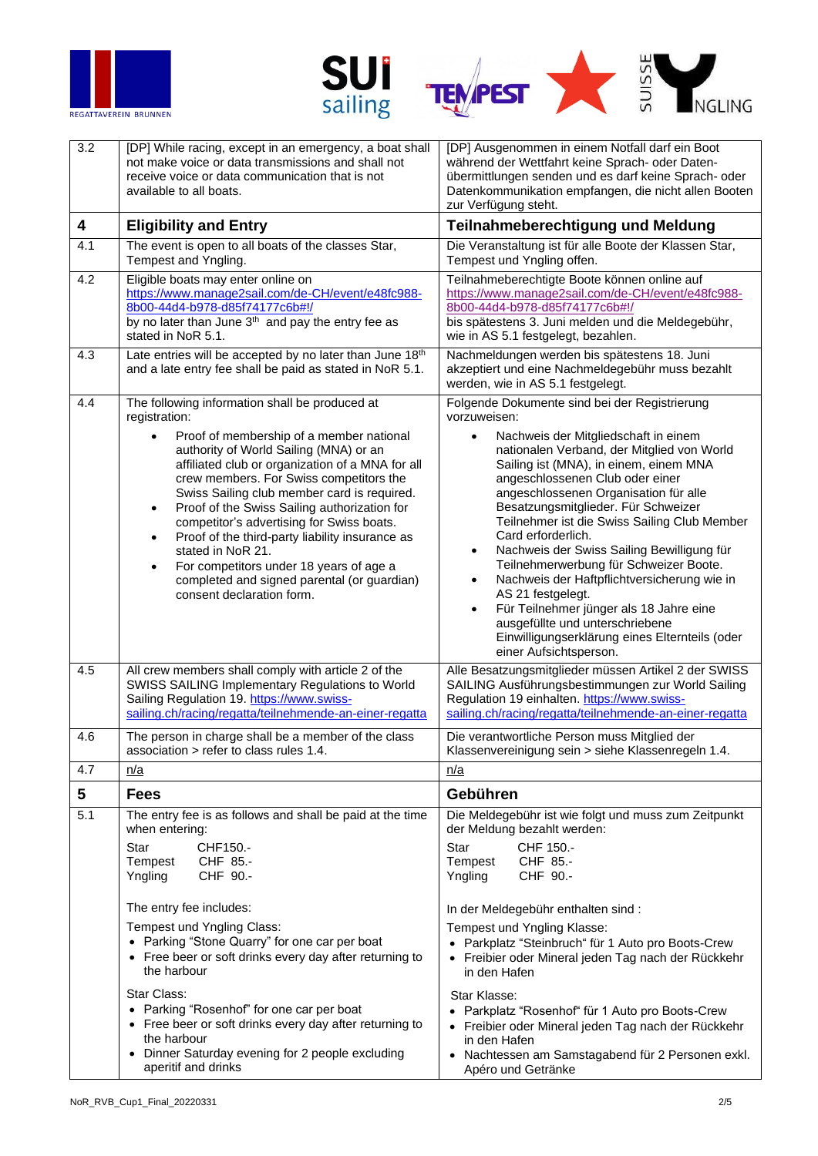





| $\overline{3.2}$ | [DP] While racing, except in an emergency, a boat shall<br>not make voice or data transmissions and shall not<br>receive voice or data communication that is not<br>available to all boats.                                                                                                                                                                                                                                                                                                                                                                                                                                                                                                   | [DP] Ausgenommen in einem Notfall darf ein Boot<br>während der Wettfahrt keine Sprach- oder Daten-<br>übermittlungen senden und es darf keine Sprach- oder<br>Datenkommunikation empfangen, die nicht allen Booten<br>zur Verfügung steht.                                                                                                                                                                                                                                                                                                                                                                                                                                                                                                                                                                               |
|------------------|-----------------------------------------------------------------------------------------------------------------------------------------------------------------------------------------------------------------------------------------------------------------------------------------------------------------------------------------------------------------------------------------------------------------------------------------------------------------------------------------------------------------------------------------------------------------------------------------------------------------------------------------------------------------------------------------------|--------------------------------------------------------------------------------------------------------------------------------------------------------------------------------------------------------------------------------------------------------------------------------------------------------------------------------------------------------------------------------------------------------------------------------------------------------------------------------------------------------------------------------------------------------------------------------------------------------------------------------------------------------------------------------------------------------------------------------------------------------------------------------------------------------------------------|
| 4                | <b>Eligibility and Entry</b>                                                                                                                                                                                                                                                                                                                                                                                                                                                                                                                                                                                                                                                                  | Teilnahmeberechtigung und Meldung                                                                                                                                                                                                                                                                                                                                                                                                                                                                                                                                                                                                                                                                                                                                                                                        |
| 4.1              | The event is open to all boats of the classes Star,<br>Tempest and Yngling.                                                                                                                                                                                                                                                                                                                                                                                                                                                                                                                                                                                                                   | Die Veranstaltung ist für alle Boote der Klassen Star,<br>Tempest und Yngling offen.                                                                                                                                                                                                                                                                                                                                                                                                                                                                                                                                                                                                                                                                                                                                     |
| 4.2              | Eligible boats may enter online on<br>https://www.manage2sail.com/de-CH/event/e48fc988-<br>8b00-44d4-b978-d85f74177c6b#!/<br>by no later than June 3 <sup>th</sup> and pay the entry fee as<br>stated in NoR 5.1.                                                                                                                                                                                                                                                                                                                                                                                                                                                                             | Teilnahmeberechtigte Boote können online auf<br>https://www.manage2sail.com/de-CH/event/e48fc988-<br>8b00-44d4-b978-d85f74177c6b#!/<br>bis spätestens 3. Juni melden und die Meldegebühr,<br>wie in AS 5.1 festgelegt, bezahlen.                                                                                                                                                                                                                                                                                                                                                                                                                                                                                                                                                                                         |
| 4.3              | Late entries will be accepted by no later than June 18th<br>and a late entry fee shall be paid as stated in NoR 5.1.                                                                                                                                                                                                                                                                                                                                                                                                                                                                                                                                                                          | Nachmeldungen werden bis spätestens 18. Juni<br>akzeptiert und eine Nachmeldegebühr muss bezahlt<br>werden, wie in AS 5.1 festgelegt.                                                                                                                                                                                                                                                                                                                                                                                                                                                                                                                                                                                                                                                                                    |
| 4.4<br>4.5       | The following information shall be produced at<br>registration:<br>Proof of membership of a member national<br>authority of World Sailing (MNA) or an<br>affiliated club or organization of a MNA for all<br>crew members. For Swiss competitors the<br>Swiss Sailing club member card is required.<br>Proof of the Swiss Sailing authorization for<br>$\bullet$<br>competitor's advertising for Swiss boats.<br>Proof of the third-party liability insurance as<br>$\bullet$<br>stated in NoR 21.<br>For competitors under 18 years of age a<br>$\bullet$<br>completed and signed parental (or guardian)<br>consent declaration form.<br>All crew members shall comply with article 2 of the | Folgende Dokumente sind bei der Registrierung<br>vorzuweisen:<br>Nachweis der Mitgliedschaft in einem<br>$\bullet$<br>nationalen Verband, der Mitglied von World<br>Sailing ist (MNA), in einem, einem MNA<br>angeschlossenen Club oder einer<br>angeschlossenen Organisation für alle<br>Besatzungsmitglieder. Für Schweizer<br>Teilnehmer ist die Swiss Sailing Club Member<br>Card erforderlich.<br>Nachweis der Swiss Sailing Bewilligung für<br>$\bullet$<br>Teilnehmerwerbung für Schweizer Boote.<br>Nachweis der Haftpflichtversicherung wie in<br>$\bullet$<br>AS 21 festgelegt.<br>Für Teilnehmer jünger als 18 Jahre eine<br>$\bullet$<br>ausgefüllte und unterschriebene<br>Einwilligungserklärung eines Elternteils (oder<br>einer Aufsichtsperson.<br>Alle Besatzungsmitglieder müssen Artikel 2 der SWISS |
|                  | SWISS SAILING Implementary Regulations to World<br>Sailing Regulation 19. https://www.swiss-<br>sailing.ch/racing/regatta/teilnehmende-an-einer-regatta                                                                                                                                                                                                                                                                                                                                                                                                                                                                                                                                       | SAILING Ausführungsbestimmungen zur World Sailing<br>Regulation 19 einhalten. https://www.swiss-<br>sailing.ch/racing/regatta/teilnehmende-an-einer-regatta                                                                                                                                                                                                                                                                                                                                                                                                                                                                                                                                                                                                                                                              |
| 4.6              | The person in charge shall be a member of the class<br>association > refer to class rules 1.4.                                                                                                                                                                                                                                                                                                                                                                                                                                                                                                                                                                                                | Die verantwortliche Person muss Mitglied der<br>Klassenvereinigung sein > siehe Klassenregeln 1.4.                                                                                                                                                                                                                                                                                                                                                                                                                                                                                                                                                                                                                                                                                                                       |
| 4.7              | n/a                                                                                                                                                                                                                                                                                                                                                                                                                                                                                                                                                                                                                                                                                           | n/a                                                                                                                                                                                                                                                                                                                                                                                                                                                                                                                                                                                                                                                                                                                                                                                                                      |
| 5                | <b>Fees</b>                                                                                                                                                                                                                                                                                                                                                                                                                                                                                                                                                                                                                                                                                   | Gebühren                                                                                                                                                                                                                                                                                                                                                                                                                                                                                                                                                                                                                                                                                                                                                                                                                 |
| 5.1              | The entry fee is as follows and shall be paid at the time<br>when entering:<br>Star<br>CHF150.-<br>Tempest<br>CHF 85.-<br>CHF 90 .-<br>Yngling<br>The entry fee includes:<br>Tempest und Yngling Class:<br>• Parking "Stone Quarry" for one car per boat<br>• Free beer or soft drinks every day after returning to<br>the harbour<br>Star Class:<br>• Parking "Rosenhof" for one car per boat<br>• Free beer or soft drinks every day after returning to<br>the harbour<br>• Dinner Saturday evening for 2 people excluding                                                                                                                                                                  | Die Meldegebühr ist wie folgt und muss zum Zeitpunkt<br>der Meldung bezahlt werden:<br><b>Star</b><br>CHF 150.-<br>CHF 85.-<br>Tempest<br>CHF 90 .-<br>Yngling<br>In der Meldegebühr enthalten sind:<br>Tempest und Yngling Klasse:<br>• Parkplatz "Steinbruch" für 1 Auto pro Boots-Crew<br>• Freibier oder Mineral jeden Tag nach der Rückkehr<br>in den Hafen<br>Star Klasse:<br>• Parkplatz "Rosenhof" für 1 Auto pro Boots-Crew<br>• Freibier oder Mineral jeden Tag nach der Rückkehr<br>in den Hafen<br>• Nachtessen am Samstagabend für 2 Personen exkl.                                                                                                                                                                                                                                                         |
|                  | aperitif and drinks                                                                                                                                                                                                                                                                                                                                                                                                                                                                                                                                                                                                                                                                           | Apéro und Getränke                                                                                                                                                                                                                                                                                                                                                                                                                                                                                                                                                                                                                                                                                                                                                                                                       |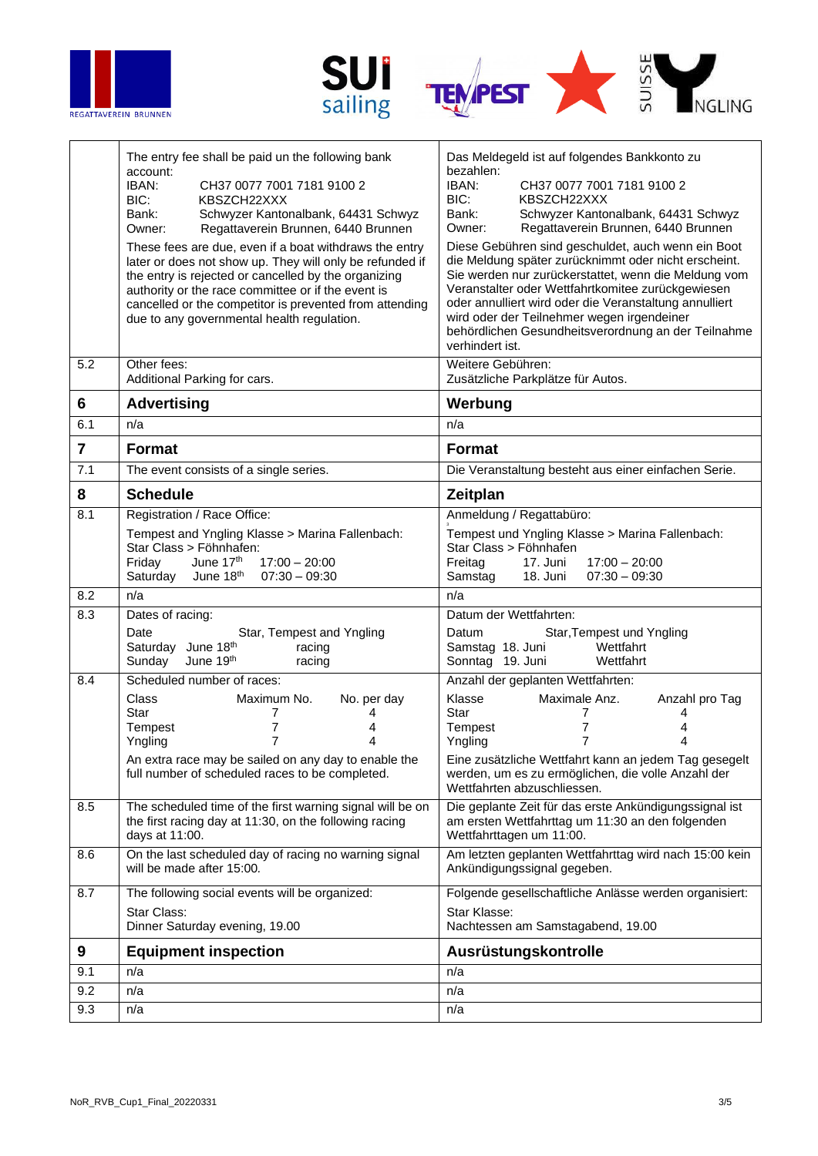





|                 | The entry fee shall be paid un the following bank<br>account:<br>IBAN:<br>CH37 0077 7001 7181 9100 2<br>BIC:<br>KBSZCH22XXX<br>Schwyzer Kantonalbank, 64431 Schwyz<br>Bank:<br>Regattaverein Brunnen, 6440 Brunnen<br>Owner:<br>These fees are due, even if a boat withdraws the entry<br>later or does not show up. They will only be refunded if<br>the entry is rejected or cancelled by the organizing<br>authority or the race committee or if the event is<br>cancelled or the competitor is prevented from attending<br>due to any governmental health regulation. | Das Meldegeld ist auf folgendes Bankkonto zu<br>bezahlen:<br>IBAN:<br>CH37 0077 7001 7181 9100 2<br>BIC:<br>KBSZCH22XXX<br>Bank:<br>Schwyzer Kantonalbank, 64431 Schwyz<br>Regattaverein Brunnen, 6440 Brunnen<br>Owner:<br>Diese Gebühren sind geschuldet, auch wenn ein Boot<br>die Meldung später zurücknimmt oder nicht erscheint.<br>Sie werden nur zurückerstattet, wenn die Meldung vom<br>Veranstalter oder Wettfahrtkomitee zurückgewiesen<br>oder annulliert wird oder die Veranstaltung annulliert<br>wird oder der Teilnehmer wegen irgendeiner<br>behördlichen Gesundheitsverordnung an der Teilnahme<br>verhindert ist. |
|-----------------|---------------------------------------------------------------------------------------------------------------------------------------------------------------------------------------------------------------------------------------------------------------------------------------------------------------------------------------------------------------------------------------------------------------------------------------------------------------------------------------------------------------------------------------------------------------------------|---------------------------------------------------------------------------------------------------------------------------------------------------------------------------------------------------------------------------------------------------------------------------------------------------------------------------------------------------------------------------------------------------------------------------------------------------------------------------------------------------------------------------------------------------------------------------------------------------------------------------------------|
| 5.2             | Other fees:<br>Additional Parking for cars.                                                                                                                                                                                                                                                                                                                                                                                                                                                                                                                               | Weitere Gebühren:<br>Zusätzliche Parkplätze für Autos.                                                                                                                                                                                                                                                                                                                                                                                                                                                                                                                                                                                |
| $6\phantom{1}6$ | <b>Advertising</b>                                                                                                                                                                                                                                                                                                                                                                                                                                                                                                                                                        | Werbung                                                                                                                                                                                                                                                                                                                                                                                                                                                                                                                                                                                                                               |
| 6.1             | n/a                                                                                                                                                                                                                                                                                                                                                                                                                                                                                                                                                                       | n/a                                                                                                                                                                                                                                                                                                                                                                                                                                                                                                                                                                                                                                   |
| $\overline{7}$  | <b>Format</b>                                                                                                                                                                                                                                                                                                                                                                                                                                                                                                                                                             | <b>Format</b>                                                                                                                                                                                                                                                                                                                                                                                                                                                                                                                                                                                                                         |
| 7.1             | The event consists of a single series.                                                                                                                                                                                                                                                                                                                                                                                                                                                                                                                                    | Die Veranstaltung besteht aus einer einfachen Serie.                                                                                                                                                                                                                                                                                                                                                                                                                                                                                                                                                                                  |
| 8               | <b>Schedule</b>                                                                                                                                                                                                                                                                                                                                                                                                                                                                                                                                                           | Zeitplan                                                                                                                                                                                                                                                                                                                                                                                                                                                                                                                                                                                                                              |
| 8.1             | Registration / Race Office:                                                                                                                                                                                                                                                                                                                                                                                                                                                                                                                                               | Anmeldung / Regattabüro:                                                                                                                                                                                                                                                                                                                                                                                                                                                                                                                                                                                                              |
|                 | Tempest and Yngling Klasse > Marina Fallenbach:<br>Star Class > Föhnhafen:<br>June 17th<br>Friday<br>$17:00 - 20:00$<br>Saturday<br>June 18 <sup>th</sup><br>$07:30 - 09:30$                                                                                                                                                                                                                                                                                                                                                                                              | Tempest und Yngling Klasse > Marina Fallenbach:<br>Star Class > Föhnhafen<br>Freitag<br>$17:00 - 20:00$<br>17. Juni<br>Samstag<br>$07:30 - 09:30$<br>18. Juni                                                                                                                                                                                                                                                                                                                                                                                                                                                                         |
| 8.2             | n/a                                                                                                                                                                                                                                                                                                                                                                                                                                                                                                                                                                       | n/a                                                                                                                                                                                                                                                                                                                                                                                                                                                                                                                                                                                                                                   |
| 8.3             | Dates of racing:                                                                                                                                                                                                                                                                                                                                                                                                                                                                                                                                                          | Datum der Wettfahrten:                                                                                                                                                                                                                                                                                                                                                                                                                                                                                                                                                                                                                |
|                 | Date<br>Star, Tempest and Yngling<br>Saturday June 18th<br>racing<br>June 19th<br>Sunday<br>racing                                                                                                                                                                                                                                                                                                                                                                                                                                                                        | Star, Tempest und Yngling<br>Datum<br>Wettfahrt<br>Samstag 18. Juni<br>Sonntag 19. Juni<br>Wettfahrt                                                                                                                                                                                                                                                                                                                                                                                                                                                                                                                                  |
| 8.4             | Scheduled number of races:                                                                                                                                                                                                                                                                                                                                                                                                                                                                                                                                                | Anzahl der geplanten Wettfahrten:                                                                                                                                                                                                                                                                                                                                                                                                                                                                                                                                                                                                     |
|                 | <b>Class</b><br>No. per day<br>Maximum No.<br>Star<br>7<br>4<br>$\overline{7}$<br>Tempest<br>4<br>7<br>4<br>Yngling<br>An extra race may be sailed on any day to enable the<br>full number of scheduled races to be completed.                                                                                                                                                                                                                                                                                                                                            | Klasse<br>Maximale Anz.<br>Anzahl pro Tag<br>Star<br>7<br>4<br>7<br>Tempest<br>4<br>$\overline{7}$<br>4<br>Yngling<br>Eine zusätzliche Wettfahrt kann an jedem Tag gesegelt<br>werden, um es zu ermöglichen, die volle Anzahl der<br>Wettfahrten abzuschliessen.                                                                                                                                                                                                                                                                                                                                                                      |
| 8.5             | The scheduled time of the first warning signal will be on<br>the first racing day at 11:30, on the following racing<br>days at 11:00.                                                                                                                                                                                                                                                                                                                                                                                                                                     | Die geplante Zeit für das erste Ankündigungssignal ist<br>am ersten Wettfahrttag um 11:30 an den folgenden<br>Wettfahrttagen um 11:00.                                                                                                                                                                                                                                                                                                                                                                                                                                                                                                |
| 8.6             | On the last scheduled day of racing no warning signal<br>will be made after 15:00.                                                                                                                                                                                                                                                                                                                                                                                                                                                                                        | Am letzten geplanten Wettfahrttag wird nach 15:00 kein<br>Ankündigungssignal gegeben.                                                                                                                                                                                                                                                                                                                                                                                                                                                                                                                                                 |
| 8.7             | The following social events will be organized:                                                                                                                                                                                                                                                                                                                                                                                                                                                                                                                            | Folgende gesellschaftliche Anlässe werden organisiert:                                                                                                                                                                                                                                                                                                                                                                                                                                                                                                                                                                                |
|                 | Star Class:<br>Dinner Saturday evening, 19.00                                                                                                                                                                                                                                                                                                                                                                                                                                                                                                                             | Star Klasse:<br>Nachtessen am Samstagabend, 19.00                                                                                                                                                                                                                                                                                                                                                                                                                                                                                                                                                                                     |
| 9               | <b>Equipment inspection</b>                                                                                                                                                                                                                                                                                                                                                                                                                                                                                                                                               | Ausrüstungskontrolle                                                                                                                                                                                                                                                                                                                                                                                                                                                                                                                                                                                                                  |
| 9.1             | n/a                                                                                                                                                                                                                                                                                                                                                                                                                                                                                                                                                                       | n/a                                                                                                                                                                                                                                                                                                                                                                                                                                                                                                                                                                                                                                   |
| 9.2             | n/a                                                                                                                                                                                                                                                                                                                                                                                                                                                                                                                                                                       | n/a                                                                                                                                                                                                                                                                                                                                                                                                                                                                                                                                                                                                                                   |
| 9.3             | n/a                                                                                                                                                                                                                                                                                                                                                                                                                                                                                                                                                                       | n/a                                                                                                                                                                                                                                                                                                                                                                                                                                                                                                                                                                                                                                   |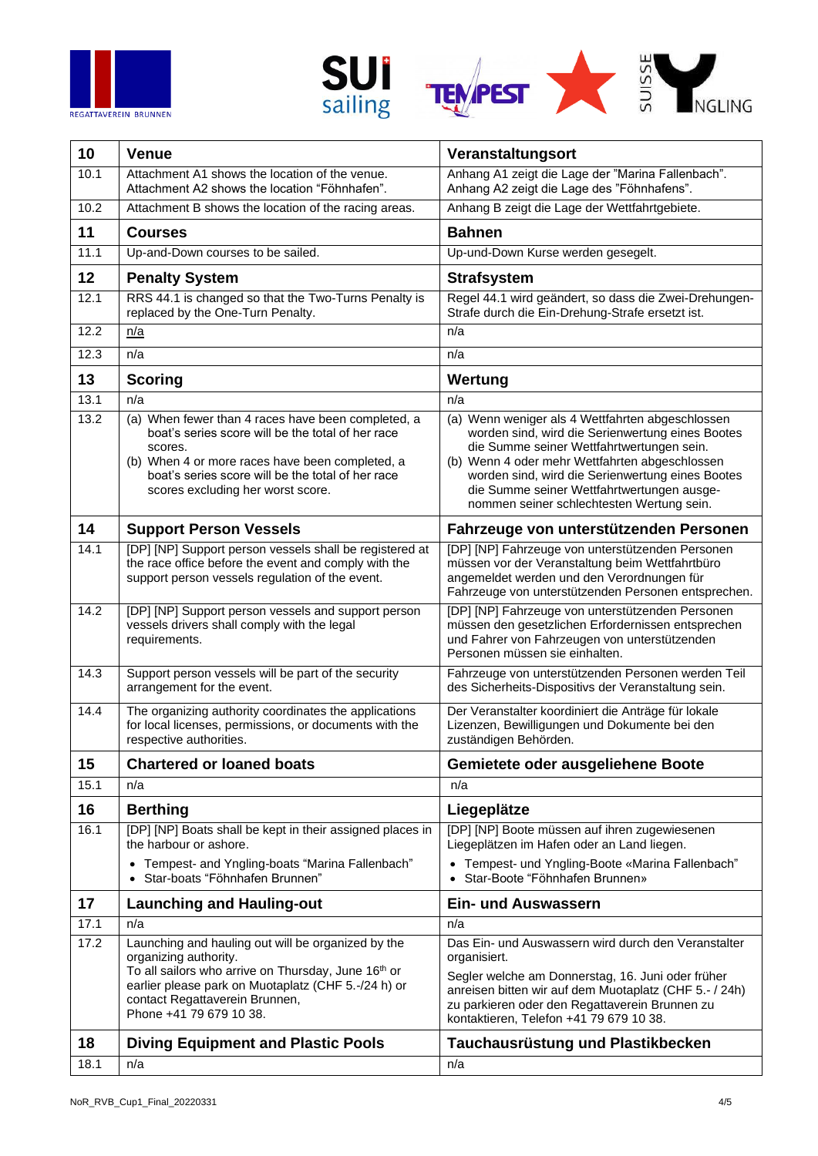





| 10   | <b>Venue</b>                                                                                                                                                                                                                                                    | Veranstaltungsort                                                                                                                                                                                                                                                                                                                                  |
|------|-----------------------------------------------------------------------------------------------------------------------------------------------------------------------------------------------------------------------------------------------------------------|----------------------------------------------------------------------------------------------------------------------------------------------------------------------------------------------------------------------------------------------------------------------------------------------------------------------------------------------------|
| 10.1 | Attachment A1 shows the location of the venue.<br>Attachment A2 shows the location "Föhnhafen".                                                                                                                                                                 | Anhang A1 zeigt die Lage der "Marina Fallenbach".<br>Anhang A2 zeigt die Lage des "Föhnhafens".                                                                                                                                                                                                                                                    |
| 10.2 | Attachment B shows the location of the racing areas.                                                                                                                                                                                                            | Anhang B zeigt die Lage der Wettfahrtgebiete.                                                                                                                                                                                                                                                                                                      |
| 11   | <b>Courses</b>                                                                                                                                                                                                                                                  | <b>Bahnen</b>                                                                                                                                                                                                                                                                                                                                      |
| 11.1 | Up-and-Down courses to be sailed.                                                                                                                                                                                                                               | Up-und-Down Kurse werden gesegelt.                                                                                                                                                                                                                                                                                                                 |
| 12   | <b>Penalty System</b>                                                                                                                                                                                                                                           | <b>Strafsystem</b>                                                                                                                                                                                                                                                                                                                                 |
| 12.1 | RRS 44.1 is changed so that the Two-Turns Penalty is<br>replaced by the One-Turn Penalty.                                                                                                                                                                       | Regel 44.1 wird geändert, so dass die Zwei-Drehungen-<br>Strafe durch die Ein-Drehung-Strafe ersetzt ist.                                                                                                                                                                                                                                          |
| 12.2 | n/a                                                                                                                                                                                                                                                             | n/a                                                                                                                                                                                                                                                                                                                                                |
| 12.3 | n/a                                                                                                                                                                                                                                                             | n/a                                                                                                                                                                                                                                                                                                                                                |
| 13   | <b>Scoring</b>                                                                                                                                                                                                                                                  | Wertung                                                                                                                                                                                                                                                                                                                                            |
| 13.1 | n/a                                                                                                                                                                                                                                                             | n/a                                                                                                                                                                                                                                                                                                                                                |
| 13.2 | (a) When fewer than 4 races have been completed, a<br>boat's series score will be the total of her race<br>scores.<br>(b) When 4 or more races have been completed, a<br>boat's series score will be the total of her race<br>scores excluding her worst score. | (a) Wenn weniger als 4 Wettfahrten abgeschlossen<br>worden sind, wird die Serienwertung eines Bootes<br>die Summe seiner Wettfahrtwertungen sein.<br>(b) Wenn 4 oder mehr Wettfahrten abgeschlossen<br>worden sind, wird die Serienwertung eines Bootes<br>die Summe seiner Wettfahrtwertungen ausge-<br>nommen seiner schlechtesten Wertung sein. |
| 14   | <b>Support Person Vessels</b>                                                                                                                                                                                                                                   | Fahrzeuge von unterstützenden Personen                                                                                                                                                                                                                                                                                                             |
| 14.1 | [DP] [NP] Support person vessels shall be registered at<br>the race office before the event and comply with the<br>support person vessels regulation of the event.                                                                                              | [DP] [NP] Fahrzeuge von unterstützenden Personen<br>müssen vor der Veranstaltung beim Wettfahrtbüro<br>angemeldet werden und den Verordnungen für<br>Fahrzeuge von unterstützenden Personen entsprechen.                                                                                                                                           |
| 14.2 | [DP] [NP] Support person vessels and support person<br>vessels drivers shall comply with the legal<br>requirements.                                                                                                                                             | [DP] [NP] Fahrzeuge von unterstützenden Personen<br>müssen den gesetzlichen Erfordernissen entsprechen<br>und Fahrer von Fahrzeugen von unterstützenden<br>Personen müssen sie einhalten.                                                                                                                                                          |
| 14.3 | Support person vessels will be part of the security<br>arrangement for the event.                                                                                                                                                                               | Fahrzeuge von unterstützenden Personen werden Teil<br>des Sicherheits-Dispositivs der Veranstaltung sein.                                                                                                                                                                                                                                          |
| 14.4 | The organizing authority coordinates the applications<br>for local licenses, permissions, or documents with the<br>respective authorities.                                                                                                                      | Der Veranstalter koordiniert die Anträge für lokale<br>Lizenzen, Bewilligungen und Dokumente bei den<br>zuständigen Behörden.                                                                                                                                                                                                                      |
| 15   | <b>Chartered or loaned boats</b>                                                                                                                                                                                                                                | Gemietete oder ausgeliehene Boote                                                                                                                                                                                                                                                                                                                  |
| 15.1 | n/a                                                                                                                                                                                                                                                             | n/a                                                                                                                                                                                                                                                                                                                                                |
| 16   | <b>Berthing</b>                                                                                                                                                                                                                                                 | Liegeplätze                                                                                                                                                                                                                                                                                                                                        |
| 16.1 | [DP] [NP] Boats shall be kept in their assigned places in<br>the harbour or ashore.<br>Tempest- and Yngling-boats "Marina Fallenbach"<br>Star-boats "Föhnhafen Brunnen"                                                                                         | [DP] [NP] Boote müssen auf ihren zugewiesenen<br>Liegeplätzen im Hafen oder an Land liegen.<br>• Tempest- und Yngling-Boote «Marina Fallenbach"<br>Star-Boote "Föhnhafen Brunnen»<br>$\bullet$                                                                                                                                                     |
| 17   | <b>Launching and Hauling-out</b>                                                                                                                                                                                                                                | <b>Ein- und Auswassern</b>                                                                                                                                                                                                                                                                                                                         |
| 17.1 | n/a                                                                                                                                                                                                                                                             | n/a                                                                                                                                                                                                                                                                                                                                                |
| 17.2 | Launching and hauling out will be organized by the<br>organizing authority.<br>To all sailors who arrive on Thursday, June 16th or<br>earlier please park on Muotaplatz (CHF 5.-/24 h) or<br>contact Regattaverein Brunnen,<br>Phone +41 79 679 10 38.          | Das Ein- und Auswassern wird durch den Veranstalter<br>organisiert.<br>Segler welche am Donnerstag, 16. Juni oder früher<br>anreisen bitten wir auf dem Muotaplatz (CHF 5.- / 24h)<br>zu parkieren oder den Regattaverein Brunnen zu<br>kontaktieren, Telefon +41 79 679 10 38.                                                                    |
| 18   | <b>Diving Equipment and Plastic Pools</b>                                                                                                                                                                                                                       | Tauchausrüstung und Plastikbecken                                                                                                                                                                                                                                                                                                                  |
| 18.1 | n/a                                                                                                                                                                                                                                                             | n/a                                                                                                                                                                                                                                                                                                                                                |